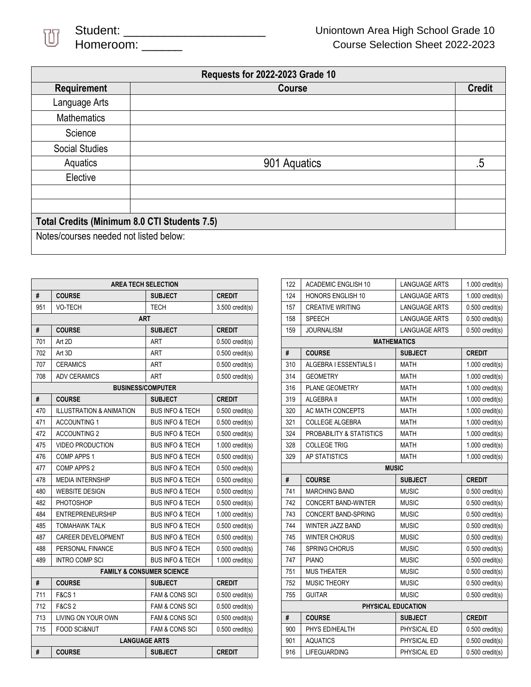

|                                              | Requests for 2022-2023 Grade 10 |               |
|----------------------------------------------|---------------------------------|---------------|
| <b>Requirement</b>                           | Course                          | <b>Credit</b> |
| Language Arts                                |                                 |               |
| <b>Mathematics</b>                           |                                 |               |
| Science                                      |                                 |               |
| <b>Social Studies</b>                        |                                 |               |
| Aquatics                                     | 901 Aquatics                    | .5            |
| Elective                                     |                                 |               |
|                                              |                                 |               |
|                                              |                                 |               |
| Total Credits (Minimum 8.0 CTI Students 7.5) |                                 |               |
| Notes/courses needed not listed below:       |                                 |               |

| <b>AREA TECH SELECTION</b> |                                     |                                      |                   |
|----------------------------|-------------------------------------|--------------------------------------|-------------------|
| #                          | <b>COURSE</b>                       | <b>SUBJECT</b>                       | <b>CREDIT</b>     |
| 951                        | <b>VO-TECH</b>                      | TECH                                 | $3.500$ credit(s) |
| <b>ART</b>                 |                                     |                                      |                   |
| #                          | <b>COURSE</b>                       | <b>SUBJECT</b>                       | <b>CREDIT</b>     |
| 701                        | Art 2D                              | ART                                  | $0.500$ credit(s) |
| 702                        | Art 3D                              | <b>ART</b>                           | $0.500$ credit(s) |
| 707                        | <b>CERAMICS</b>                     | <b>ART</b>                           | $0.500$ credit(s) |
| 708                        | <b>ADV CERAMICS</b>                 | ART                                  | $0.500$ credit(s) |
|                            |                                     | <b>BUSINESS/COMPUTER</b>             |                   |
| #                          | <b>COURSE</b>                       | <b>SUBJECT</b>                       | <b>CREDIT</b>     |
| 470                        | <b>ILLUSTRATION &amp; ANIMATION</b> | <b>BUS INFO &amp; TECH</b>           | $0.500$ credit(s) |
| 471                        | <b>ACCOUNTING 1</b>                 | <b>BUS INFO &amp; TECH</b>           | $0.500$ credit(s) |
| 472                        | <b>ACCOUNTING 2</b>                 | <b>BUS INFO &amp; TECH</b>           | $0.500$ credit(s) |
| 475                        | <b>VIDEO PRODUCTION</b>             | <b>BUS INFO &amp; TECH</b>           | $1.000$ credit(s) |
| 476                        | <b>COMP APPS 1</b>                  | <b>BUS INFO &amp; TECH</b>           | $0.500$ credit(s) |
| 477                        | COMP APPS 2                         | <b>BUS INFO &amp; TECH</b>           | $0.500$ credit(s) |
| 478                        | <b>MEDIA INTERNSHIP</b>             | <b>BUS INFO &amp; TECH</b>           | $0.500$ credit(s) |
| 480                        | <b>WEBSITE DESIGN</b>               | <b>BUS INFO &amp; TECH</b>           | $0.500$ credit(s) |
| 482                        | PHOTOSHOP                           | <b>BUS INFO &amp; TECH</b>           | $0.500$ credit(s) |
| 484                        | <b>ENTREPRENEURSHIP</b>             | <b>BUS INFO &amp; TECH</b>           | $1.000$ credit(s) |
| 485                        | <b>TOMAHAWK TALK</b>                | <b>BUS INFO &amp; TECH</b>           | $0.500$ credit(s) |
| 487                        | <b>CAREER DEVELOPMENT</b>           | <b>BUS INFO &amp; TECH</b>           | $0.500$ credit(s) |
| 488                        | PERSONAL FINANCE                    | <b>BUS INFO &amp; TECH</b>           | $0.500$ credit(s) |
| 489                        | <b>INTRO COMP SCI</b>               | <b>BUS INFO &amp; TECH</b>           | $1.000$ credit(s) |
|                            |                                     | <b>FAMILY &amp; CONSUMER SCIENCE</b> |                   |
| #                          | <b>COURSE</b>                       | <b>SUBJECT</b>                       | <b>CREDIT</b>     |
| 711                        | <b>F&amp;CS1</b>                    | <b>FAM &amp; CONS SCI</b>            | $0.500$ credit(s) |
| 712                        | <b>F&amp;CS2</b>                    | <b>FAM &amp; CONS SCI</b>            | $0.500$ credit(s) |
| 713                        | LIVING ON YOUR OWN                  | <b>FAM &amp; CONS SCI</b>            | $0.500$ credit(s) |
| 715                        | <b>FOOD SCI&amp;NUT</b>             | <b>FAM &amp; CONS SCI</b>            | $0.500$ credit(s) |
| <b>LANGUAGE ARTS</b>       |                                     |                                      |                   |
| #                          | <b>COURSE</b>                       | <b>SUBJECT</b>                       | <b>CREDIT</b>     |

| 122                | <b>ACADEMIC ENGLISH 10</b> | <b>LANGUAGE ARTS</b> | $1.000$ credit(s) |  |
|--------------------|----------------------------|----------------------|-------------------|--|
| 124                | <b>HONORS ENGLISH 10</b>   | <b>LANGUAGE ARTS</b> | $1.000$ credit(s) |  |
| 157                | <b>CREATIVE WRITING</b>    | <b>LANGUAGE ARTS</b> | $0.500$ credit(s) |  |
| 158                | <b>SPEECH</b>              | <b>LANGUAGE ARTS</b> | $0.500$ credit(s) |  |
| 159                | <b>JOURNALISM</b>          | <b>LANGUAGE ARTS</b> | $0.500$ credit(s) |  |
| <b>MATHEMATICS</b> |                            |                      |                   |  |
| #                  | <b>COURSE</b>              | <b>SUBJECT</b>       | <b>CREDIT</b>     |  |
| 310                | ALGEBRA I ESSENTIALS I     | <b>MATH</b>          | $1.000$ credit(s) |  |
| 314                | <b>GEOMETRY</b>            | MATH                 | $1.000$ credit(s) |  |
| 316                | <b>PLANE GEOMETRY</b>      | MATH                 | $1.000$ credit(s) |  |
| 319                | ALGEBRA II                 | <b>MATH</b>          | $1.000$ credit(s) |  |
| 320                | <b>AC MATH CONCEPTS</b>    | <b>MATH</b>          | $1.000$ credit(s) |  |
| 321                | <b>COLLEGE ALGEBRA</b>     | <b>MATH</b>          | $1.000$ credit(s) |  |
| 324                | PROBABILITY & STATISTICS   | <b>MATH</b>          | $1.000$ credit(s) |  |
| 328                | <b>COLLEGE TRIG</b>        | <b>MATH</b>          | $1.000$ credit(s) |  |
| 329                | AP STATISTICS              | <b>MATH</b>          | $1.000$ credit(s) |  |
| <b>MUSIC</b>       |                            |                      |                   |  |
|                    |                            |                      |                   |  |
| #                  | <b>COURSE</b>              | <b>SUBJECT</b>       | <b>CREDIT</b>     |  |
| 741                | <b>MARCHING BAND</b>       | <b>MUSIC</b>         | $0.500$ credit(s) |  |
| 742                | <b>CONCERT BAND-WINTER</b> | <b>MUSIC</b>         | $0.500$ credit(s) |  |
| 743                | <b>CONCERT BAND-SPRING</b> | <b>MUSIC</b>         | $0.500$ credit(s) |  |
| 744                | <b>WINTER JAZZ BAND</b>    | <b>MUSIC</b>         | $0.500$ credit(s) |  |
| 745                | <b>WINTER CHORUS</b>       | <b>MUSIC</b>         | $0.500$ credit(s) |  |
| 746                | <b>SPRING CHORUS</b>       | <b>MUSIC</b>         | $0.500$ credit(s) |  |
| 747                | <b>PIANO</b>               | <b>MUSIC</b>         | $0.500$ credit(s) |  |
| 751                | <b>MUS THEATER</b>         | <b>MUSIC</b>         | $0.500$ credit(s) |  |
| 752                | MUSIC THEORY               | <b>MUSIC</b>         | $0.500$ credit(s) |  |
| 755                | <b>GUITAR</b>              | <b>MUSIC</b>         | $0.500$ credit(s) |  |
|                    |                            | PHYSICAL EDUCATION   |                   |  |
| #                  | <b>COURSE</b>              | <b>SUBJECT</b>       | <b>CREDIT</b>     |  |
| 900                | PHYS ED/HEALTH             | PHYSICAL ED          | $0.500$ credit(s) |  |
| 901                | <b>AQUATICS</b>            | PHYSICAL ED          | $0.500$ credit(s) |  |